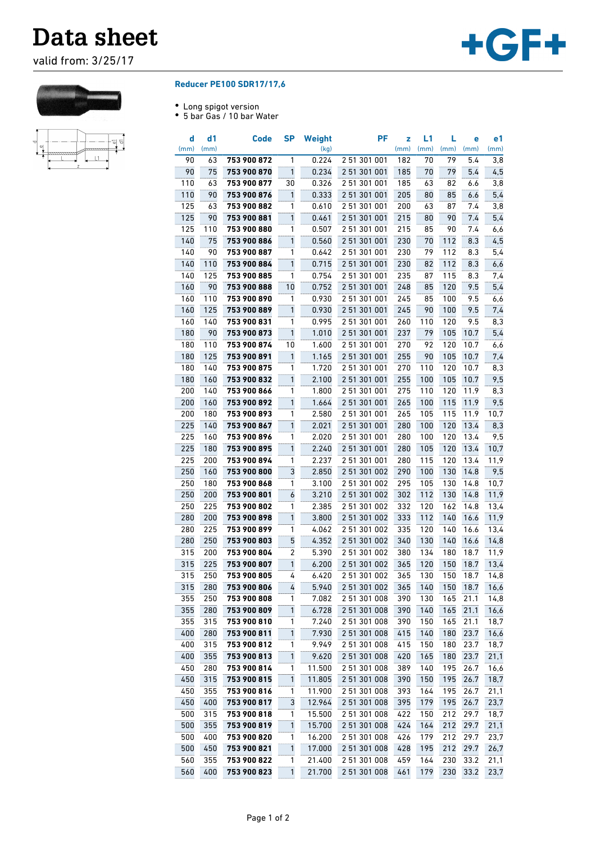## **Data sheet**

valid from: 3/25/17





## **Reducer PE100 SDR17/17,6**

- Long spigot version
- 5 bar Gas / 10 bar Water

| d<br>(mm)  | d1<br>(mm) | Code                       | <b>SP</b>      | <b>Weight</b><br>(kg) | PF           | z<br>(mm)  | L1<br>(mm) | L<br>(mm)  | е<br>(mm)    | e1<br>(mm)   |
|------------|------------|----------------------------|----------------|-----------------------|--------------|------------|------------|------------|--------------|--------------|
| 90         | 63         | 753 900 872                | 1              | 0.224                 | 2 51 301 001 | 182        | 70         | 79         | 5.4          | 3,8          |
| 90         | 75         | 753 900 870                | $\mathbf{1}$   | 0.234                 | 2 51 301 001 | 185        | 70         | 79         | 5.4          | 4,5          |
| 110        | 63         | 753 900 877                | 30             | 0.326                 | 2 51 301 001 | 185        | 63         | 82         | 6.6          | 3,8          |
| 110        | 90         | 753 900 876                | 1              | 0.333                 | 2 51 301 001 | 205        | 80         | 85         | 6.6          | 5,4          |
| 125        | 63         | 753 900 882                | 1              | 0.610                 | 2 51 301 001 | 200        | 63         | 87         | 7.4          | 3,8          |
| 125        | 90         | 753 900 881                | 1              | 0.461                 | 2 51 301 001 | 215        | 80         | 90         | 7.4          | 5,4          |
| 125        | 110        | 753 900 880                | 1              | 0.507                 | 2 51 301 001 | 215        | 85         | 90         | 7.4          | 6,6          |
| 140        | 75         | 753 900 886                | 1              | 0.560                 | 2 51 301 001 | 230        | 70         | 112        | 8.3          | 4,5          |
| 140        | 90         | 753 900 887                | 1              | 0.642                 | 2 51 301 001 | 230        | 79         | 112        | 8.3          | 5,4          |
| 140        | 110        | 753 900 884                | 1              | 0.715                 | 2 51 301 001 | 230        | 82         | 112        | 8.3          | 6,6          |
| 140        | 125        | 753 900 885                | 1              | 0.754                 | 2 51 301 001 | 235        | 87         | 115        | 8.3          | 7,4          |
| 160        | 90         | 753 900 888                | 10             | 0.752                 | 2 51 301 001 | 248        | 85         | 120        | 9.5          | 5,4          |
| 160        | 110        | 753 900 890                | 1              | 0.930                 | 2 51 301 001 | 245        | 85         | 100        | 9.5          | 6,6          |
| 160        | 125        | 753 900 889                | 1              | 0.930                 | 2 51 301 001 | 245        | 90         | 100        | 9.5          | 7,4          |
| 160        | 140        | 753 900 831                | 1              | 0.995                 | 2 51 301 001 | 260        | 110        | 120        | 9.5          | 8,3          |
| 180        | 90         | 753 900 873                | 1              | 1.010                 | 2 51 301 001 | 237        | 79         | 105        | 10.7         | 5,4          |
| 180        | 110        | 753 900 874                | 10             | 1.600                 | 2 51 301 001 | 270        | 92         | 120        | 10.7         | 6,6          |
| 180        | 125        | 753 900 891                | $\mathbf{1}$   | 1.165                 | 2 51 301 001 | 255        | 90         | 105        | 10.7         | 7,4          |
| 180        | 140        | 753 900 875                | 1              | 1.720                 | 2 51 301 001 | 270        | 110        | 120        | 10.7         | 8,3          |
| 180        | 160        | 753 900 832                | 1              | 2.100                 | 2 51 301 001 | 255        | 100        | 105        | 10.7         | 9,5          |
| 200        | 140        | 753 900 866                | 1              | 1.800                 | 2 51 301 001 | 275        | 110        | 120        | 11.9         | 8,3          |
| 200        | 160        | 753 900 892                | 1              | 1.664                 | 2 51 301 001 | 265        | 100        | 115        | 11.9         | 9,5          |
| 200        | 180        | 753 900 893                | 1              | 2.580                 | 251 301 001  | 265        | 105        | 115        | 11.9         | 10, 7        |
| 225        | 140        | 753 900 867                | 1              | 2.021                 | 2 51 301 001 | 280        | 100        | 120        | 13.4         | 8,3          |
| 225        | 160        | 753 900 896                | 1              |                       | 2 51 301 001 | 280        | 100        | 120        | 13.4         | 9,5          |
| 225        | 180        | 753 900 895                | 1              | 2.020<br>2.240        | 2 51 301 001 |            |            |            |              |              |
| 225        | 200        | 753 900 894                | 1              | 2.237                 | 2 51 301 001 | 280<br>280 | 105<br>115 | 120        | 13.4<br>13.4 | 10,7         |
| 250        | 160        | 753 900 800                | 3              |                       | 2 51 301 002 | 290        | 100        | 120<br>130 | 14.8         | 11,9<br>9,5  |
| 250        | 180        | 753 900 868                | 1              | 2.850<br>3.100        | 2 51 301 002 | 295        | 105        | 130        | 14.8         | 10,7         |
| 250        | 200        | 753 900 801                | 6              |                       | 2 51 301 002 | 302        | 112        | 130        | 14.8         | 11,9         |
| 250        | 225        | 753 900 802                | 1              | 3.210<br>2.385        | 2 51 301 002 | 332        | 120        | 162        | 14.8         | 13,4         |
| 280        | 200        | 753 900 898                | 1              | 3.800                 | 2 51 301 002 | 333        | 112        | 140        | 16.6         | 11,9         |
| 280        | 225        | 753 900 899                | 1              | 4.062                 | 2 51 301 002 | 335        | 120        | 140        | 16.6         | 13,4         |
| 280        | 250        | 753 900 803                | 5              |                       | 2 51 301 002 | 340        |            | 140        |              |              |
| 315        |            | 753 900 804                | $\overline{2}$ | 4.352                 | 2 51 301 002 |            | 130<br>134 |            | 16.6<br>18.7 | 14,8         |
| 315        | 200<br>225 | 753 900 807                | 1              | 5.390<br>6.200        | 2 51 301 002 | 380<br>365 | 120        | 180<br>150 | 18.7         | 11,9<br>13,4 |
| 315        | 250        | 753 900 805                | 4              | 6.420                 | 2 51 301 002 | 365        | 130        | 150        | 18.7         | 14,8         |
| 315        | 280        | 753 900 806                | 4              | 5.940                 | 2 51 301 002 | 365        | 140        | 150        | 18.7         | 16,6         |
| 355        | 250        | 753 900 808                | 1              | 7.082                 | 2 51 301 008 | 390        | 130        | 165        | 21.1         | 14,8         |
| 355        | 280        | 753 900 809                | $\mathbf{1}$   | 6.728                 | 2 51 301 008 | 390        | 140        | 165        | 21.1         | 16,6         |
| 355        | 315        | 753 900 810                | 1              | 7.240                 | 2 51 301 008 | 390        | 150        | 165        | 21.1         | 18,7         |
| 400        | 280        | 753 900 811                | $\mathbf{1}$   | 7.930                 | 2 51 301 008 | 415        | 140        | 180        | 23.7         | 16,6         |
| 400        | 315        | 753 900 812                | 1              | 9.949                 | 2 51 301 008 | 415        | 150        | 180        | 23.7         | 18,7         |
| 400        | 355        |                            | $\mathbf{1}$   |                       | 2 51 301 008 |            | 165        |            | 23.7         | 21,1         |
| 450        | 280        | 753 900 813<br>753 900 814 | 1              | 9.620<br>11.500       | 2 51 301 008 | 420<br>389 | 140        | 180<br>195 | 26.7         | 16,6         |
| 450        | 315        | 753 900 815                | 1              | 11.805                | 2 51 301 008 | 390        | 150        | 195        | 26.7         | 18,7         |
| 450        | 355        | 753 900 816                | 1              | 11.900                | 2 51 301 008 | 393        | 164        | 195        | 26.7         | 21,1         |
| 450        | 400        | 753 900 817                | 3              | 12.964                | 2 51 301 008 | 395        | 179        | 195        | 26.7         | 23,7         |
| 500        | 315        | 753 900 818                | $\mathbf{1}$   | 15.500                | 2 51 301 008 | 422        | 150        | 212        | 29.7         | 18,7         |
| 500        | 355        | 753 900 819                | $\mathbf{1}$   | 15.700                | 2 51 301 008 | 424        | 164        | 212        | 29.7         | 21,1         |
| 500        | 400        | 753 900 820                | 1              | 16.200                | 2 51 301 008 | 426        | 179        | 212        | 29.7         | 23,7         |
| 500        | 450        | 753 900 821                | $\mathbf{1}$   | 17.000                | 2 51 301 008 | 428        | 195        | 212        | 29.7         | 26,7         |
|            | 355        | 753 900 822                | 1              | 21.400                | 2 51 301 008 | 459        | 164        | 230        | 33.2         |              |
| 560<br>560 |            | 753 900 823                | $\mathbf{1}$   | 21.700                | 2 51 301 008 |            |            |            | 33.2         | 21,1         |
|            | 400        |                            |                |                       |              | 461        | 179        | 230        |              | 23,7         |